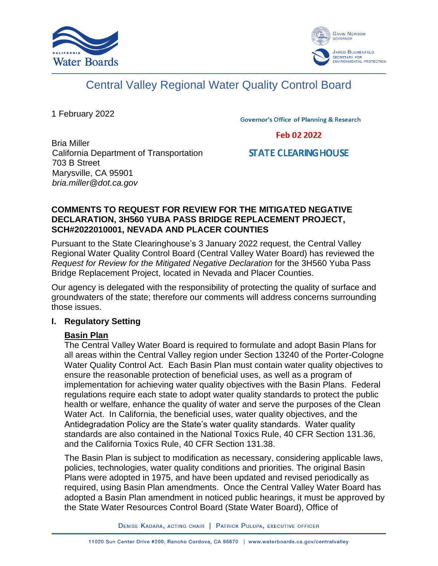



# Central Valley Regional Water Quality Control Board

1 February 2022

**Governor's Office of Planning & Research** 

Feb 02 2022

#### Bria Miller California Department of Transportation 703 B Street Marysville, CA 95901 *bria.miller@dot.ca.gov*

## **STATE CLEARING HOUSE**

## **COMMENTS TO REQUEST FOR REVIEW FOR THE MITIGATED NEGATIVE DECLARATION, 3H560 YUBA PASS BRIDGE REPLACEMENT PROJECT, SCH#2022010001, NEVADA AND PLACER COUNTIES**

Pursuant to the State Clearinghouse's 3 January 2022 request, the Central Valley Regional Water Quality Control Board (Central Valley Water Board) has reviewed the *Request for Review for the Mitigated Negative Declaration* for the 3H560 Yuba Pass Bridge Replacement Project, located in Nevada and Placer Counties.

Our agency is delegated with the responsibility of protecting the quality of surface and groundwaters of the state; therefore our comments will address concerns surrounding those issues.

## **I. Regulatory Setting**

## **Basin Plan**

The Central Valley Water Board is required to formulate and adopt Basin Plans for all areas within the Central Valley region under Section 13240 of the Porter-Cologne Water Quality Control Act. Each Basin Plan must contain water quality objectives to ensure the reasonable protection of beneficial uses, as well as a program of implementation for achieving water quality objectives with the Basin Plans. Federal regulations require each state to adopt water quality standards to protect the public health or welfare, enhance the quality of water and serve the purposes of the Clean Water Act. In California, the beneficial uses, water quality objectives, and the Antidegradation Policy are the State's water quality standards. Water quality standards are also contained in the National Toxics Rule, 40 CFR Section 131.36, and the California Toxics Rule, 40 CFR Section 131.38.

The Basin Plan is subject to modification as necessary, considering applicable laws, policies, technologies, water quality conditions and priorities. The original Basin Plans were adopted in 1975, and have been updated and revised periodically as required, using Basin Plan amendments. Once the Central Valley Water Board has adopted a Basin Plan amendment in noticed public hearings, it must be approved by the State Water Resources Control Board (State Water Board), Office of

DENISE KADARA, ACTING CHAIR | PATRICK PULUPA, EXECUTIVE OFFICER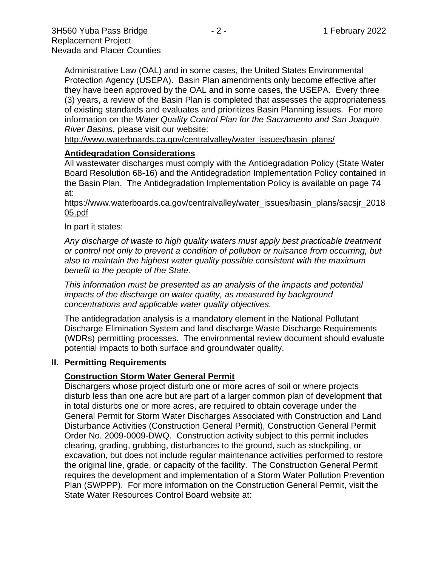Administrative Law (OAL) and in some cases, the United States Environmental Protection Agency (USEPA). Basin Plan amendments only become effective after they have been approved by the OAL and in some cases, the USEPA. Every three (3) years, a review of the Basin Plan is completed that assesses the appropriateness of existing standards and evaluates and prioritizes Basin Planning issues. For more information on the *Water Quality Control Plan for the Sacramento and San Joaquin River Basins*, please visit our website:

[http://www.waterboards.ca.gov/centralvalley/water\\_issues/basin\\_plans/](http://www.waterboards.ca.gov/centralvalley/water_issues/basin_plans/)

#### **Antidegradation Considerations**

All wastewater discharges must comply with the Antidegradation Policy (State Water Board Resolution 68-16) and the Antidegradation Implementation Policy contained in the Basin Plan. The Antidegradation Implementation Policy is available on page 74 at:

#### https://www.waterboards.ca.gov/centralvalley/water\_issues/basin\_plans/sacsjr\_2018 05.pdf

#### In part it states:

*Any discharge of waste to high quality waters must apply best practicable treatment or control not only to prevent a condition of pollution or nuisance from occurring, but also to maintain the highest water quality possible consistent with the maximum benefit to the people of the State.*

*This information must be presented as an analysis of the impacts and potential impacts of the discharge on water quality, as measured by background concentrations and applicable water quality objectives.*

The antidegradation analysis is a mandatory element in the National Pollutant Discharge Elimination System and land discharge Waste Discharge Requirements (WDRs) permitting processes. The environmental review document should evaluate potential impacts to both surface and groundwater quality.

#### **II. Permitting Requirements**

#### **Construction Storm Water General Permit**

Dischargers whose project disturb one or more acres of soil or where projects disturb less than one acre but are part of a larger common plan of development that in total disturbs one or more acres, are required to obtain coverage under the General Permit for Storm Water Discharges Associated with Construction and Land Disturbance Activities (Construction General Permit), Construction General Permit Order No. 2009-0009-DWQ. Construction activity subject to this permit includes clearing, grading, grubbing, disturbances to the ground, such as stockpiling, or excavation, but does not include regular maintenance activities performed to restore the original line, grade, or capacity of the facility. The Construction General Permit requires the development and implementation of a Storm Water Pollution Prevention Plan (SWPPP). For more information on the Construction General Permit, visit the State Water Resources Control Board website at: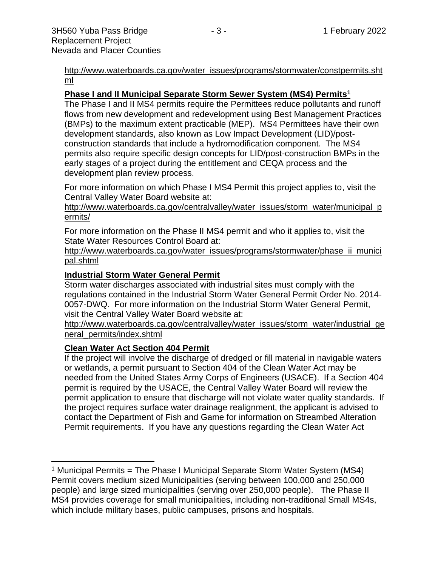[http://www.waterboards.ca.gov/water\\_issues/programs/stormwater/constpermits.sht](http://www.waterboards.ca.gov/water_issues/programs/stormwater/constpermits.shtml) [ml](http://www.waterboards.ca.gov/water_issues/programs/stormwater/constpermits.shtml)

## **Phase I and II Municipal Separate Storm Sewer System (MS4) Permits<sup>1</sup>**

The Phase I and II MS4 permits require the Permittees reduce pollutants and runoff flows from new development and redevelopment using Best Management Practices (BMPs) to the maximum extent practicable (MEP). MS4 Permittees have their own development standards, also known as Low Impact Development (LID)/postconstruction standards that include a hydromodification component. The MS4 permits also require specific design concepts for LID/post-construction BMPs in the early stages of a project during the entitlement and CEQA process and the development plan review process.

For more information on which Phase I MS4 Permit this project applies to, visit the Central Valley Water Board website at:

http://www.waterboards.ca.gov/centralvalley/water\_issues/storm\_water/municipal\_p ermits/

For more information on the Phase II MS4 permit and who it applies to, visit the State Water Resources Control Board at:

http://www.waterboards.ca.gov/water\_issues/programs/stormwater/phase\_ii\_munici pal.shtml

#### **Industrial Storm Water General Permit**

Storm water discharges associated with industrial sites must comply with the regulations contained in the Industrial Storm Water General Permit Order No. 2014- 0057-DWQ. For more information on the Industrial Storm Water General Permit, visit the Central Valley Water Board website at:

http://www.waterboards.ca.gov/centralvalley/water\_issues/storm\_water/industrial\_ge neral\_permits/index.shtml

#### **Clean Water Act Section 404 Permit**

If the project will involve the discharge of dredged or fill material in navigable waters or wetlands, a permit pursuant to Section 404 of the Clean Water Act may be needed from the United States Army Corps of Engineers (USACE). If a Section 404 permit is required by the USACE, the Central Valley Water Board will review the permit application to ensure that discharge will not violate water quality standards. If the project requires surface water drainage realignment, the applicant is advised to contact the Department of Fish and Game for information on Streambed Alteration Permit requirements. If you have any questions regarding the Clean Water Act

<sup>&</sup>lt;sup>1</sup> Municipal Permits = The Phase I Municipal Separate Storm Water System (MS4) Permit covers medium sized Municipalities (serving between 100,000 and 250,000 people) and large sized municipalities (serving over 250,000 people). The Phase II MS4 provides coverage for small municipalities, including non-traditional Small MS4s, which include military bases, public campuses, prisons and hospitals.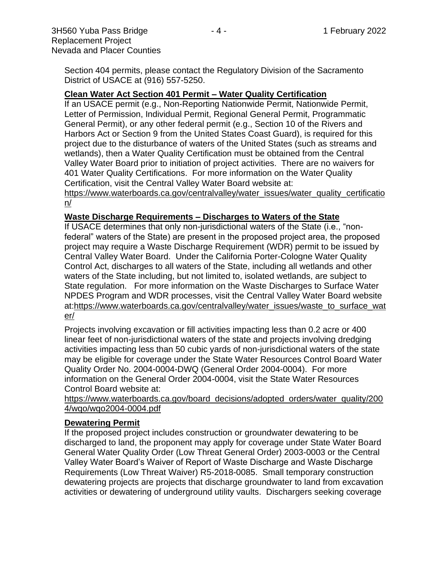Section 404 permits, please contact the Regulatory Division of the Sacramento District of USACE at (916) 557-5250.

#### **Clean Water Act Section 401 Permit – Water Quality Certification**

If an USACE permit (e.g., Non-Reporting Nationwide Permit, Nationwide Permit, Letter of Permission, Individual Permit, Regional General Permit, Programmatic General Permit), or any other federal permit (e.g., Section 10 of the Rivers and Harbors Act or Section 9 from the United States Coast Guard), is required for this project due to the disturbance of waters of the United States (such as streams and wetlands), then a Water Quality Certification must be obtained from the Central Valley Water Board prior to initiation of project activities. There are no waivers for 401 Water Quality Certifications. For more information on the Water Quality Certification, visit the Central Valley Water Board website at:

https://www.waterboards.ca.gov/centralvalley/water\_issues/water\_quality\_certificatio n/

#### **Waste Discharge Requirements – Discharges to Waters of the State**

If USACE determines that only non-jurisdictional waters of the State (i.e., "nonfederal" waters of the State) are present in the proposed project area, the proposed project may require a Waste Discharge Requirement (WDR) permit to be issued by Central Valley Water Board. Under the California Porter-Cologne Water Quality Control Act, discharges to all waters of the State, including all wetlands and other waters of the State including, but not limited to, isolated wetlands, are subject to State regulation. For more information on the Waste Discharges to Surface Water NPDES Program and WDR processes, visit the Central Valley Water Board website at:https://www.waterboards.ca.gov/centralvalley/water\_issues/waste\_to\_surface\_wat er/

Projects involving excavation or fill activities impacting less than 0.2 acre or 400 linear feet of non-jurisdictional waters of the state and projects involving dredging activities impacting less than 50 cubic yards of non-jurisdictional waters of the state may be eligible for coverage under the State Water Resources Control Board Water Quality Order No. 2004-0004-DWQ (General Order 2004-0004). For more information on the General Order 2004-0004, visit the State Water Resources Control Board website at:

https://www.waterboards.ca.gov/board\_decisions/adopted\_orders/water\_quality/200 4/wqo/wqo2004-0004.pdf

#### **Dewatering Permit**

If the proposed project includes construction or groundwater dewatering to be discharged to land, the proponent may apply for coverage under State Water Board General Water Quality Order (Low Threat General Order) 2003-0003 or the Central Valley Water Board's Waiver of Report of Waste Discharge and Waste Discharge Requirements (Low Threat Waiver) R5-2018-0085. Small temporary construction dewatering projects are projects that discharge groundwater to land from excavation activities or dewatering of underground utility vaults. Dischargers seeking coverage